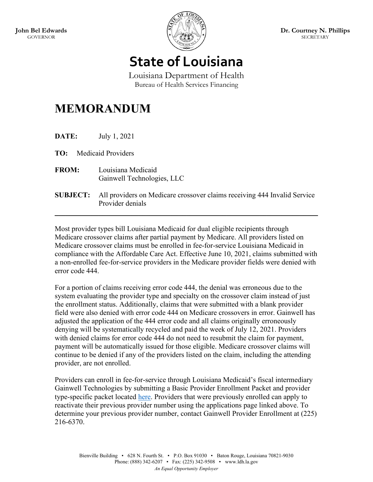

**State of Louisiana**

Louisiana Department of Health Bureau of Health Services Financing

## **MEMORANDUM**

**DATE:** July 1, 2021

**TO:** Medicaid Providers

- **FROM:** Louisiana Medicaid Gainwell Technologies, LLC
- **SUBJECT:** All providers on Medicare crossover claims receiving 444 Invalid Service Provider denials

 $\mathcal{L}_\text{max} = \mathcal{L}_\text{max} = \mathcal{L}_\text{max} = \mathcal{L}_\text{max} = \mathcal{L}_\text{max} = \mathcal{L}_\text{max} = \mathcal{L}_\text{max} = \mathcal{L}_\text{max} = \mathcal{L}_\text{max} = \mathcal{L}_\text{max} = \mathcal{L}_\text{max} = \mathcal{L}_\text{max} = \mathcal{L}_\text{max} = \mathcal{L}_\text{max} = \mathcal{L}_\text{max} = \mathcal{L}_\text{max} = \mathcal{L}_\text{max} = \mathcal{L}_\text{max} = \mathcal{$ 

Most provider types bill Louisiana Medicaid for dual eligible recipients through Medicare crossover claims after partial payment by Medicare. All providers listed on Medicare crossover claims must be enrolled in fee-for-service Louisiana Medicaid in compliance with the Affordable Care Act. Effective June 10, 2021, claims submitted with a non-enrolled fee-for-service providers in the Medicare provider fields were denied with error code 444.

For a portion of claims receiving error code 444, the denial was erroneous due to the system evaluating the provider type and specialty on the crossover claim instead of just the enrollment status. Additionally, claims that were submitted with a blank provider field were also denied with error code 444 on Medicare crossovers in error. Gainwell has adjusted the application of the 444 error code and all claims originally erroneously denying will be systematically recycled and paid the week of July 12, 2021. Providers with denied claims for error code 444 do not need to resubmit the claim for payment, payment will be automatically issued for those eligible. Medicare crossover claims will continue to be denied if any of the providers listed on the claim, including the attending provider, are not enrolled.

Providers can enroll in fee-for-service through Louisiana Medicaid's fiscal intermediary Gainwell Technologies by submitting a Basic Provider Enrollment Packet and provider type-specific packet located [here.](https://www.lamedicaid.com/provweb1/Provider_Enrollment/newenrollments.htm) Providers that were previously enrolled can apply to reactivate their previous provider number using the applications page linked above. To determine your previous provider number, contact Gainwell Provider Enrollment at (225) 216-6370.